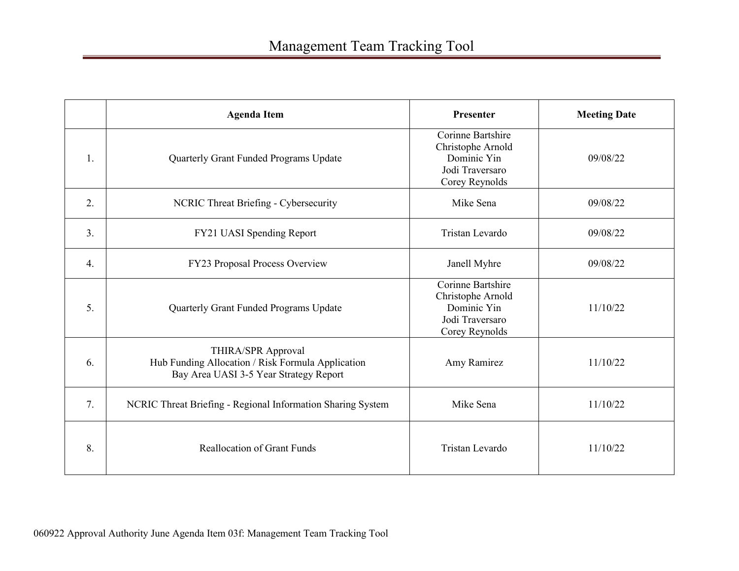|    | <b>Agenda Item</b>                                                                                                | Presenter                                                                                         | <b>Meeting Date</b> |
|----|-------------------------------------------------------------------------------------------------------------------|---------------------------------------------------------------------------------------------------|---------------------|
| 1. | Quarterly Grant Funded Programs Update                                                                            | Corinne Bartshire<br>Christophe Arnold<br>Dominic Yin<br>Jodi Traversaro<br>Corey Reynolds        | 09/08/22            |
| 2. | NCRIC Threat Briefing - Cybersecurity                                                                             | Mike Sena                                                                                         | 09/08/22            |
| 3. | FY21 UASI Spending Report                                                                                         | Tristan Levardo                                                                                   | 09/08/22            |
| 4. | FY23 Proposal Process Overview                                                                                    | Janell Myhre                                                                                      | 09/08/22            |
| 5. | Quarterly Grant Funded Programs Update                                                                            | <b>Corinne Bartshire</b><br>Christophe Arnold<br>Dominic Yin<br>Jodi Traversaro<br>Corey Reynolds | 11/10/22            |
| 6. | THIRA/SPR Approval<br>Hub Funding Allocation / Risk Formula Application<br>Bay Area UASI 3-5 Year Strategy Report | Amy Ramirez                                                                                       | 11/10/22            |
| 7. | NCRIC Threat Briefing - Regional Information Sharing System                                                       | Mike Sena                                                                                         | 11/10/22            |
| 8. | <b>Reallocation of Grant Funds</b>                                                                                | Tristan Levardo                                                                                   | 11/10/22            |